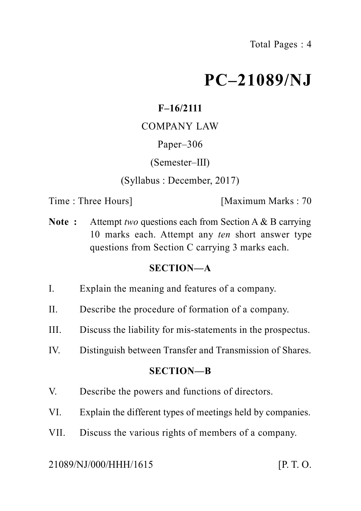# **PC–21089/NJ**

## **F–16/2111**

## COMPANY LAW

#### Paper–306

#### (Semester–III)

(Syllabus : December, 2017)

Time : Three Hours **I** [Maximum Marks : 70]

**Note :** Attempt *two* questions each from Section A & B carrying 10 marks each. Attempt any *ten* short answer type questions from Section C carrying 3 marks each.

## **SECTION—A**

- I. Explain the meaning and features of a company.
- II. Describe the procedure of formation of a company.
- III. Discuss the liability for mis-statements in the prospectus.
- IV. Distinguish between Transfer and Transmission of Shares.

#### **SECTION—B**

- V. Describe the powers and functions of directors.
- VI. Explain the different types of meetings held by companies.
- VII. Discuss the various rights of members of a company.

#### 21089/NJ/000/HHH/1615 [P. T. O.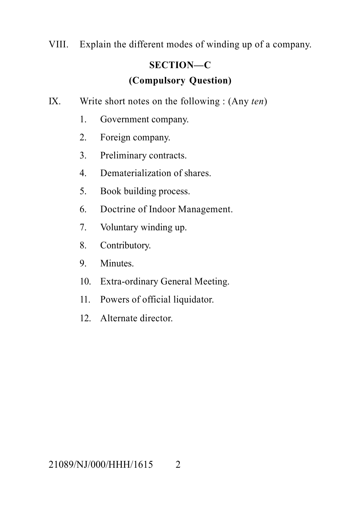VIII. Explain the different modes of winding up of a company.

# **SECTION—C (Compulsory Question)**

- IX. Write short notes on the following : (Any *ten*)
	- 1. Government company.
	- 2. Foreign company.
	- 3. Preliminary contracts.
	- 4. Dematerialization of shares.
	- 5. Book building process.
	- 6. Doctrine of Indoor Management.
	- 7. Voluntary winding up.
	- 8. Contributory.
	- 9. Minutes.
	- 10. Extra-ordinary General Meeting.
	- 11. Powers of official liquidator.
	- 12. Alternate director.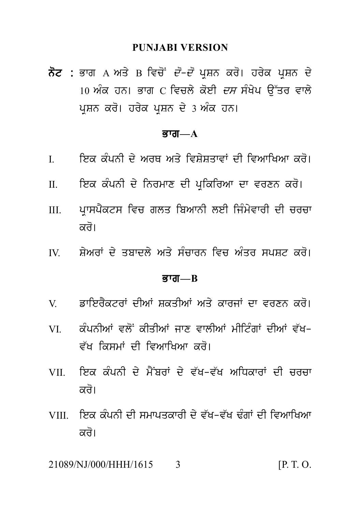#### **PUNJABI VERSION**

PUNJABI VERSION<br>ਨੋਟ : ਭਾਗ A ਅਤੇ B ਵਿਚੋਂ *ਦੋ–ਦੋ* ਪ੍ਰਸ਼ਨ ਕਰੋ। ਹਰੇਕ ਪ੍ਰਸ਼ਨ ਦੇ<br>10 ਅੰਕ ਹਨ। ਭਾਗ C ਵਿਚਲੇ ਕੋਈ *ਦਸ* ਸੰਖੇਪ ਉੱਤਰ ਵਾਲੇ<br>ਪੁਸ਼ਨ ਕਰੋ। ਹਰੇਕ ਪੁਸ਼ਨ ਦੇ 3 ਅੰਕ ਹਨ। PUNJABI VERSION<br>ਭਾਗ A ਅਤੇ B ਵਿਚੋਂ *ਦੋ–ਦੋ* ਪ੍ਰਸ਼ਨ ਕਰੋ। ਹਰੇਕ ਪ੍ਰਸ਼ਨ ਦੇ<br>10 ਅੰਕ ਹਨ। ਭਾਗ C ਵਿਚਲੇ ਕੋਈ *ਦਸ* ਸੰਖੇਪ ਉੱਤਰ ਵਾਲੇ<br>ਪ੍ਰਸ਼ਨ ਕਰੋ। ਹਰੇਕ ਪ੍ਰਸ਼ਨ ਦੇ 3 ਅੰਕ ਹਨ। **ਨੋਟ :** ਭਾਗ A ਅਤੇ B ਵਿਚੋਂ *ਦੋ–ਦੋ* ਪ੍ਰਸ਼ਨ ਕਰੋ। ਹਰੇਕ ਪ੍ਰਸ਼ਨ ਦੇ<br>10 ਅੰਕ ਹਨ। ਭਾਗ C ਵਿਚਲੇ ਕੋਈ *ਦਸ* ਸੰਖੇਪ ਉੱਤਰ ਵਾਲੇ<br>ਪ੍ਰਸ਼ਨ ਕਰੋ। ਹਰੇਕ ਪ੍ਰਸ਼ਨ ਦੇ 3 ਅੰਕ ਹਨ।

#### ਭਾਗ $-A$

- ਪ੍ਰਸ਼ਨ ਕਰੋ। ਹਰੇਕ ਪ੍ਰਸ਼ਨ ਦੇ 3 ਅੱਕ ਹਨ।<br>ਭਾਗ—A<br>I. ਇਕ ਕੰਪਨੀ ਦੇ ਅਰਥ ਅਤੇ ਵਿਸ਼ੇਸ਼ਤਾਵਾਂ ਦੀ ਵਿਆਖਿਆ ਕਰੋ।<br>II. ਇਕ ਕੰਪਨੀ ਦੇ ਨਿਰਮਾਣ ਦੀ ਪ੍ਰਕਿਰਿਆ ਦਾ ਵਰਣਨ ਕਰੋ।
- 
- **ਭਾਗ—A**<br>I. ਇਕ ਕੰਪਨੀ ਦੇ ਅਰਥ ਅਤੇ ਵਿਸ਼ੇਸ਼ਤਾਵਾਂ ਦੀ ਵਿਆਖਿਆ ਕਰੋ।<br>II. ਇਕ ਕੰਪਨੀ ਦੇ ਨਿਰਮਾਣ ਦੀ ਪ੍ਰਕਿਰਿਆ ਦਾ ਵਰਣਨ ਕਰੋ।<br>III. ਪ੍ਰਾਸਪੈਕਟਸ ਵਿਚ ਗਲਤ ਬਿਆਨੀ ਲਈ ਜਿੰਮੇਵਾਰੀ ਦੀ ਚਰਚਾ I. ਇਕ ਕੰਪਨੀ ਦੇ ਅਰਥ ਅਤੇ ਵਿਸ਼ੇਸ਼ਤਾਵਾਂ ਦੀ ਵਿਆਖਿਆ ਕਰੋ।<br>II. ਇਕ ਕੰਪਨੀ ਦੇ ਨਿਰਮਾਣ ਦੀ ਪ੍ਰਕਿਰਿਆ ਦਾ ਵਰਣਨ ਕਰੋ।<br>III. ਪ੍ਰਾਸਪੈਕਟਸ ਵਿਚ ਗਲਤ ਬਿਆਨੀ ਲਈ ਜਿੰਮੇਵਾਰੀ ਦੀ ਚਰਚਾ<br> ਕਰੋ। ਇਕ ਕੰਪਨੀ ਦੇ ਨਿਰਮਾਣ ਦੀ ਪ੍ਰਕਿਰਿਆ ਦਾ ਵਰਣਨ ਕਰੋ।<br>ਪ੍ਰਾਸਪੈਕਟਸ ਵਿਚ ਗਲਤ ਬਿਆਨੀ ਲਈ ਜਿੰਮੇਵਾਰੀ ਦੀ ਚਰਚਾ<br>ਕਰੋ।<br>ਸ਼ੇਅਰਾਂ ਦੇ ਤਬਾਦਲੇ ਅਤੇ ਸੰਚਾਰਨ ਵਿਚ ਅੰਤਰ ਸਪਸ਼ਟ ਕਰੋ। III. ਪ੍ਰਾਸਪੈਕਟਸ ਵਿਚ ਗਲਤ ਬਿਆਨੀ ਲਈ ਜਿੰਮੇਵਾਰੀ ਦੀ ਚਰਚਾ<br>|ਕਰੋ।<br>IV. ਸ਼ੇਅਰਾਂ ਦੇ ਤਬਾਦਲੇ ਅਤੇ ਸੰਚਾਰਨ ਵਿਚ ਅੰਤਰ ਸਪਸ਼ਟ ਕਰੋ।<br>|**ਭਾਗ—B**
- 

#### Bwg**—B**

- 
- IV. ਸ਼ੇਅਰਾਂ ਦੇ ਤਬਾਦਲੇ ਅਤੇ ਸੱਚਾਰਨ ਵਿਚ ਅੰਤਰ ਸਪਸ਼ਟ ਕਰੋ।<br>ਭਾਗ—B<br>V. ਡਾਇਰੈਕਟਰਾਂ ਦੀਆਂ ਸ਼ਕਤੀਆਂ ਅਤੇ ਕਾਰਜਾਂ ਦਾ ਵਰਣਨ ਕਰੋ।<br>VI. ਕੰਪਨੀਆਂ ਵਲੋਂ ਕੀਤੀਆਂ ਜਾਣ ਵਾਲੀਆਂ ਮੀਟਿੰਗਾਂ ਦੀਆਂ ਵੱਖ– **ਭਾਗ—B<br>V**. ਡਾਇਰੈਕਟਰਾਂ ਦੀਆਂ ਸ਼ਕਤੀਆਂ ਅਤੇ ਕਾਰਜਾਂ ਦਾ ਵਰਣਨ ਕਰੋ।<br>VI. ਕੰਪਨੀਆਂ ਵਲੋਂ ਕੀਤੀਆਂ ਜਾਣ ਵਾਲੀਆਂ ਮੀਟਿੰਗਾਂ ਦੀਆਂ ਵੱਖ-<br>ਵੱਖ ਕਿਸਮਾਂ ਦੀ ਵਿਆਖਿਆ ਕਰੋ। V. ਡਾਇਰੈਕਟਰਾਂ ਦੀਆਂ ਸ਼ਕਤੀਆਂ ਅਤੇ ਕਾਰਜਾਂ ਦਾ ਵਰਣਨ ਕਰੋ।<br>VI. ਕੰਪਨੀਆਂ ਵਲੋਂ ਕੀਤੀਆਂ ਜਾਣ ਵਾਲੀਆਂ ਮੀਟਿੰਗਾਂ ਦੀਆਂ ਵੱਖ–<br>ਵੱਖ ਕਿਸਮਾਂ ਦੀ ਵਿਆਖਿਆ ਕਰੋ।<br>VII. ਇਕ ਕੰਪਨੀ ਦੇ ਮੈਂਬਰਾਂ ਦੇ ਵੱਖ–ਵੱਖ ਅਧਿਕਾਰਾਂ ਦੀ ਚਰਚਾ<br>ਕਰੋ।
- VI. ਕੰਪਨੀਆਂ ਵਲੋਂ ਕੀਤੀਆਂ ਜਾਣ ਵਾਲੀਆਂ ਮੀਟਿੰਗਾਂ ਦੀਆਂ ਵੱਖ-<br>ਵੱਖ ਕਿਸਮਾਂ ਦੀ ਵਿਆਖਿਆ ਕਰੋ।<br>VII. ਇਕ ਕੰਪਨੀ ਦੇ ਮੈਂਬਰਾਂ ਦੇ ਵੱਖ-ਵੱਖ ਅਧਿਕਾਰਾਂ ਦੀ ਚਰਚਾ<br>ਕਰੋ। ਵੱਖ ਕਿਸਮਾਂ ਦੀ ਵਿਆਖਿਆ ਕਰੋ।<br>ਇਕ ਕੰਪਨੀ ਦੇ ਮੈਂਬਰਾਂ ਦੇ ਵੱਖ–ਾ<br>ਕਰੋ।<br>ਇਕ ਕੰਪਨੀ ਦੀ ਸਮਾਪਤਕਾਰੀ ਦੇ ਵੱਖ<br>ਕੁਰੋ।
- VII. ਇਕ ਕੰਪਨੀ ਦੇ ਮੈਂਬਰਾਂ ਦੇ ਵੱਖ-ਵੱਖ ਅਧਿਕਾਰਾਂ ਦੀ ਚਰਚਾ<br>ਕਰੋ।<br>VIII. ਇਕ ਕੰਪਨੀ ਦੀ ਸਮਾਪਤਕਾਰੀ ਦੇ ਵੱਖ-ਵੱਖ ਢੰਗਾਂ ਦੀ ਵਿਆਖਿਆ<br>ਕਰੋ। VIII. ਇਕ ਕੰਪਨੀ ਦੀ ਸਮਾਪਤਕਾਰੀ ਦੇ ਵੱਖ-ਵੱਖ ਢੰਗਾਂ ਦੀ ਵਿਆਖਿਆ<br>ਕਰੋ।<br>21089/NI/000/HHH/1615 3

21089/NJ/000/HHH/1615 3 [P. T. O.